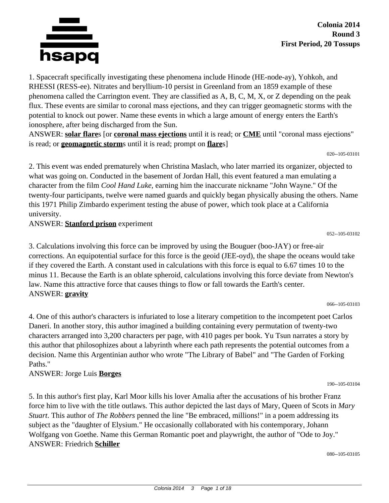

1. Spacecraft specifically investigating these phenomena include Hinode (HE-node-ay), Yohkoh, and RHESSI (RESS-ee). Nitrates and beryllium-10 persist in Greenland from an 1859 example of these phenomena called the Carrington event. They are classified as A, B, C, M, X, or Z depending on the peak flux. These events are similar to coronal mass ejections, and they can trigger geomagnetic storms with the potential to knock out power. Name these events in which a large amount of energy enters the Earth's ionosphere, after being discharged from the Sun.

ANSWER: **solar flare**s [or **coronal mass ejections** until it is read; or **CME** until "coronal mass ejections" is read; or **geomagnetic storm**s until it is read; prompt on **flare**s]

020--105-03101

2. This event was ended prematurely when Christina Maslach, who later married its organizer, objected to what was going on. Conducted in the basement of Jordan Hall, this event featured a man emulating a character from the film *Cool Hand Luke,* earning him the inaccurate nickname "John Wayne." Of the twenty-four participants, twelve were named guards and quickly began physically abusing the others. Name this 1971 Philip Zimbardo experiment testing the abuse of power, which took place at a California university.

ANSWER: **Stanford prison** experiment

052--105-03102

3. Calculations involving this force can be improved by using the Bouguer (boo-JAY) or free-air corrections. An equipotential surface for this force is the geoid (JEE-oyd), the shape the oceans would take if they covered the Earth. A constant used in calculations with this force is equal to 6.67 times 10 to the minus 11. Because the Earth is an oblate spheroid, calculations involving this force deviate from Newton's law. Name this attractive force that causes things to flow or fall towards the Earth's center. ANSWER: **gravity**

066--105-03103

4. One of this author's characters is infuriated to lose a literary competition to the incompetent poet Carlos Daneri. In another story, this author imagined a building containing every permutation of twenty-two characters arranged into 3,200 characters per page, with 410 pages per book. Yu Tsun narrates a story by this author that philosophizes about a labyrinth where each path represents the potential outcomes from a decision. Name this Argentinian author who wrote "The Library of Babel" and "The Garden of Forking Paths."

ANSWER: Jorge Luis **Borges**

5. In this author's first play, Karl Moor kills his lover Amalia after the accusations of his brother Franz force him to live with the title outlaws. This author depicted the last days of Mary, Queen of Scots in *Mary Stuart*. This author of *The Robbers* penned the line "Be embraced, millions!" in a poem addressing its subject as the "daughter of Elysium." He occasionally collaborated with his contemporary, Johann Wolfgang von Goethe. Name this German Romantic poet and playwright, the author of "Ode to Joy." ANSWER: Friedrich **Schiller**

080--105-03105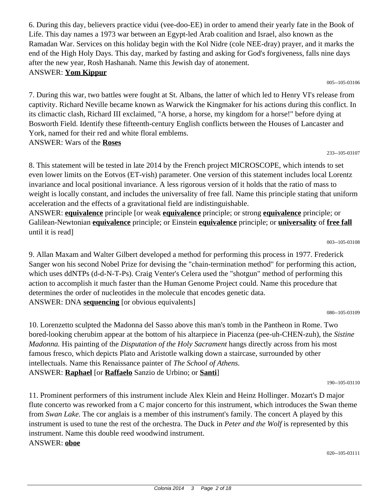6. During this day, believers practice vidui (vee-doo-EE) in order to amend their yearly fate in the Book of Life. This day names a 1973 war between an Egypt-led Arab coalition and Israel, also known as the Ramadan War. Services on this holiday begin with the Kol Nidre (cole NEE-dray) prayer, and it marks the end of the High Holy Days. This day, marked by fasting and asking for God's forgiveness, falls nine days after the new year, Rosh Hashanah. Name this Jewish day of atonement. ANSWER: **Yom Kippur**

005--105-03106

7. During this war, two battles were fought at St. Albans, the latter of which led to Henry VI's release from captivity. Richard Neville became known as Warwick the Kingmaker for his actions during this conflict. In its climactic clash, Richard III exclaimed, "A horse, a horse, my kingdom for a horse!" before dying at Bosworth Field. Identify these fifteenth-century English conflicts between the Houses of Lancaster and York, named for their red and white floral emblems. ANSWER: Wars of the **Roses**

233--105-03107

8. This statement will be tested in late 2014 by the French project MICROSCOPE, which intends to set even lower limits on the Eotvos (ET-vish) parameter. One version of this statement includes local Lorentz invariance and local positional invariance. A less rigorous version of it holds that the ratio of mass to weight is locally constant, and includes the universality of free fall. Name this principle stating that uniform acceleration and the effects of a gravitational field are indistinguishable.

ANSWER: **equivalence** principle [or weak **equivalence** principle; or strong **equivalence** principle; or Galilean-Newtonian **equivalence** principle; or Einstein **equivalence** principle; or **universality** of **free fall** until it is read]

003--105-03108

9. Allan Maxam and Walter Gilbert developed a method for performing this process in 1977. Frederick Sanger won his second Nobel Prize for devising the "chain-termination method" for performing this action, which uses ddNTPs (d-d-N-T-Ps). Craig Venter's Celera used the "shotgun" method of performing this action to accomplish it much faster than the Human Genome Project could. Name this procedure that determines the order of nucleotides in the molecule that encodes genetic data. ANSWER: DNA **sequencing** [or obvious equivalents]

080--105-03109

10. Lorenzetto sculpted the Madonna del Sasso above this man's tomb in the Pantheon in Rome. Two bored-looking cherubim appear at the bottom of his altarpiece in Piacenza (pee-uh-CHEN-zuh), the *Sistine Madonna.* His painting of the *Disputation of the Holy Sacrament* hangs directly across from his most famous fresco, which depicts Plato and Aristotle walking down a staircase, surrounded by other intellectuals. Name this Renaissance painter of *The School of Athens.* ANSWER: **Raphael** [or **Raffaelo** Sanzio de Urbino; or **Santi**]

190--105-03110

11. Prominent performers of this instrument include Alex Klein and Heinz Hollinger. Mozart's D major flute concerto was reworked from a C major concerto for this instrument, which introduces the Swan theme from *Swan Lake.* The cor anglais is a member of this instrument's family. The concert A played by this instrument is used to tune the rest of the orchestra. The Duck in *Peter and the Wolf* is represented by this instrument. Name this double reed woodwind instrument. ANSWER: **oboe**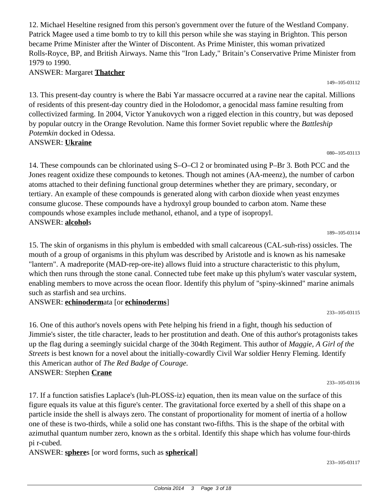12. Michael Heseltine resigned from this person's government over the future of the Westland Company. Patrick Magee used a time bomb to try to kill this person while she was staying in Brighton. This person became Prime Minister after the Winter of Discontent. As Prime Minister, this woman privatized Rolls-Royce, BP, and British Airways. Name this "Iron Lady," Britain's Conservative Prime Minister from 1979 to 1990.

ANSWER: Margaret **Thatcher**

13. This present-day country is where the Babi Yar massacre occurred at a ravine near the capital. Millions of residents of this present-day country died in the Holodomor, a genocidal mass famine resulting from collectivized farming. In 2004, Victor Yanukovych won a rigged election in this country, but was deposed by popular outcry in the Orange Revolution. Name this former Soviet republic where the *Battleship Potemkin* docked in Odessa.

### ANSWER: **Ukraine**

14. These compounds can be chlorinated using S–O–Cl 2 or brominated using P–Br 3. Both PCC and the Jones reagent oxidize these compounds to ketones. Though not amines (AA-meenz), the number of carbon atoms attached to their defining functional group determines whether they are primary, secondary, or tertiary. An example of these compounds is generated along with carbon dioxide when yeast enzymes consume glucose. These compounds have a hydroxyl group bounded to carbon atom. Name these compounds whose examples include methanol, ethanol, and a type of isopropyl. ANSWER: **alcohol**s

15. The skin of organisms in this phylum is embedded with small calcareous (CAL-suh-riss) ossicles. The mouth of a group of organisms in this phylum was described by Aristotle and is known as his namesake "lantern". A madreporite (MAD-rep-ore-ite) allows fluid into a structure characteristic to this phylum, which then runs through the stone canal. Connected tube feet make up this phylum's water vascular system, enabling members to move across the ocean floor. Identify this phylum of "spiny-skinned" marine animals such as starfish and sea urchins.

### ANSWER: **echinoderm**ata [or **echinoderms**]

16. One of this author's novels opens with Pete helping his friend in a fight, though his seduction of Jimmie's sister, the title character, leads to her prostitution and death. One of this author's protagonists takes up the flag during a seemingly suicidal charge of the 304th Regiment. This author of *Maggie, A Girl of the Streets* is best known for a novel about the initially-cowardly Civil War soldier Henry Fleming. Identify this American author of *The Red Badge of Courage.* ANSWER: Stephen **Crane**

233--105-03116

17. If a function satisfies Laplace's (luh-PLOSS-iz) equation, then its mean value on the surface of this figure equals its value at this figure's center. The gravitational force exerted by a shell of this shape on a particle inside the shell is always zero. The constant of proportionality for moment of inertia of a hollow one of these is two-thirds, while a solid one has constant two-fifths. This is the shape of the orbital with azimuthal quantum number zero, known as the s orbital. Identify this shape which has volume four-thirds pi r-cubed.

ANSWER: **sphere**s [or word forms, such as **spherical**]

080--105-03113

189--105-03114

233--105-03115

# 149--105-03112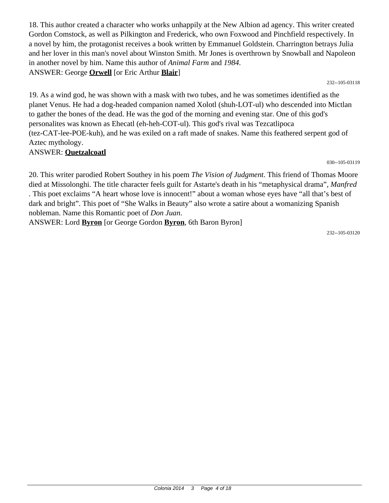18. This author created a character who works unhappily at the New Albion ad agency. This writer created Gordon Comstock, as well as Pilkington and Frederick, who own Foxwood and Pinchfield respectively. In a novel by him, the protagonist receives a book written by Emmanuel Goldstein. Charrington betrays Julia and her lover in this man's novel about Winston Smith. Mr Jones is overthrown by Snowball and Napoleon in another novel by him. Name this author of *Animal Farm* and *1984*. ANSWER: George **Orwell** [or Eric Arthur **Blair**]

232--105-03118

19. As a wind god, he was shown with a mask with two tubes, and he was sometimes identified as the planet Venus. He had a dog-headed companion named Xolotl (shuh-LOT-ul) who descended into Mictlan to gather the bones of the dead. He was the god of the morning and evening star. One of this god's personalites was known as Ehecatl (eh-heh-COT-ul). This god's rival was Tezcatlipoca (tez-CAT-lee-POE-kuh), and he was exiled on a raft made of snakes. Name this feathered serpent god of Aztec mythology.

#### ANSWER: **Quetzalcoatl**

030--105-03119

20. This writer parodied Robert Southey in his poem *The Vision of Judgment*. This friend of Thomas Moore died at Missolonghi. The title character feels guilt for Astarte's death in his "metaphysical drama", *Manfred* . This poet exclaims "A heart whose love is innocent!" about a woman whose eyes have "all that's best of dark and bright". This poet of "She Walks in Beauty" also wrote a satire about a womanizing Spanish nobleman. Name this Romantic poet of *Don Juan*.

ANSWER: Lord **Byron** [or George Gordon **Byron**, 6th Baron Byron]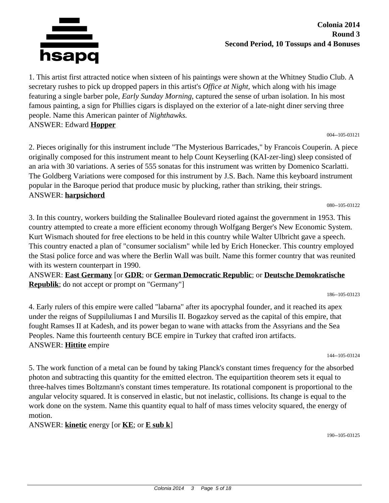

#### **Colonia 2014 Round 3 Second Period, 10 Tossups and 4 Bonuses**

1. This artist first attracted notice when sixteen of his paintings were shown at the Whitney Studio Club. A secretary rushes to pick up dropped papers in this artist's *Office at Night,* which along with his image featuring a single barber pole, *Early Sunday Morning,* captured the sense of urban isolation. In his most famous painting, a sign for Phillies cigars is displayed on the exterior of a late-night diner serving three people. Name this American painter of *Nighthawks.* ANSWER: Edward **Hopper**

004--105-03121

2. Pieces originally for this instrument include "The Mysterious Barricades," by Francois Couperin. A piece originally composed for this instrument meant to help Count Keyserling (KAI-zer-ling) sleep consisted of an aria with 30 variations. A series of 555 sonatas for this instrument was written by Domenico Scarlatti. The Goldberg Variations were composed for this instrument by J.S. Bach. Name this keyboard instrument popular in the Baroque period that produce music by plucking, rather than striking, their strings. ANSWER: **harpsichord**

080--105-03122

3. In this country, workers building the Stalinallee Boulevard rioted against the government in 1953. This country attempted to create a more efficient economy through Wolfgang Berger's New Economic System. Kurt Wismach shouted for free elections to be held in this country while Walter Ulbricht gave a speech. This country enacted a plan of "consumer socialism" while led by Erich Honecker. This country employed the Stasi police force and was where the Berlin Wall was built. Name this former country that was reunited with its western counterpart in 1990.

ANSWER: **East Germany** [or **GDR**; or **German Democratic Republic**; or **Deutsche Demokratische Republik**; do not accept or prompt on "Germany"]

186--105-03123

4. Early rulers of this empire were called "labarna" after its apocryphal founder, and it reached its apex under the reigns of Suppiluliumas I and Mursilis II. Bogazkoy served as the capital of this empire, that fought Ramses II at Kadesh, and its power began to wane with attacks from the Assyrians and the Sea Peoples. Name this fourteenth century BCE empire in Turkey that crafted iron artifacts. ANSWER: **Hittite** empire

144--105-03124

5. The work function of a metal can be found by taking Planck's constant times frequency for the absorbed photon and subtracting this quantity for the emitted electron. The equipartition theorem sets it equal to three-halves times Boltzmann's constant times temperature. Its rotational component is proportional to the angular velocity squared. It is conserved in elastic, but not inelastic, collisions. Its change is equal to the work done on the system. Name this quantity equal to half of mass times velocity squared, the energy of motion.

ANSWER: **kinetic** energy [or **KE**; or **E sub k**]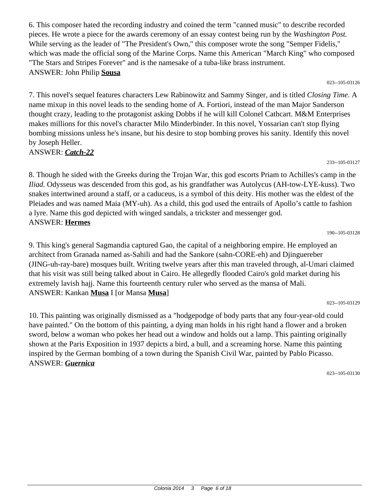6. This composer hated the recording industry and coined the term "canned music" to describe recorded pieces. He wrote a piece for the awards ceremony of an essay contest being run by the *Washington Post.* While serving as the leader of "The President's Own," this composer wrote the song "Semper Fidelis," which was made the official song of the Marine Corps. Name this American "March King" who composed "The Stars and Stripes Forever" and is the namesake of a tuba-like brass instrument. ANSWER: John Philip **Sousa**

023--105-03126

7. This novel's sequel features characters Lew Rabinowitz and Sammy Singer, and is titled *Closing Time*. A name mixup in this novel leads to the sending home of A. Fortiori, instead of the man Major Sanderson thought crazy, leading to the protagonist asking Dobbs if he will kill Colonel Cathcart. M&M Enterprises makes millions for this novel's character Milo Minderbinder. In this novel, Yossarian can't stop flying bombing missions unless he's insane, but his desire to stop bombing proves his sanity. Identify this novel by Joseph Heller. ANSWER: *Catch-22*

#### 233--105-03127

8. Though he sided with the Greeks during the Trojan War, this god escorts Priam to Achilles's camp in the *Iliad.* Odysseus was descended from this god, as his grandfather was Autolycus (AH-tow-LYE-kuss). Two snakes intertwined around a staff, or a caduceus, is a symbol of this deity. His mother was the eldest of the Pleiades and was named Maia (MY-uh). As a child, this god used the entrails of Apollo's cattle to fashion a lyre. Name this god depicted with winged sandals, a trickster and messenger god. ANSWER: **Hermes**

9. This king's general Sagmandia captured Gao, the capital of a neighboring empire. He employed an architect from Granada named as-Sahili and had the Sankore (sahn-CORE-eh) and Djinguereber (JING-uh-ray-bare) mosques built. Writing twelve years after this man traveled through, al-Umari claimed that his visit was still being talked about in Cairo. He allegedly flooded Cairo's gold market during his extremely lavish hajj. Name this fourteenth century ruler who served as the mansa of Mali. ANSWER: Kankan **Musa** I [or Mansa **Musa**]

023--105-03129

190--105-03128

10. This painting was originally dismissed as a "hodgepodge of body parts that any four-year-old could have painted." On the bottom of this painting, a dying man holds in his right hand a flower and a broken sword, below a woman who pokes her head out a window and holds out a lamp. This painting originally shown at the Paris Exposition in 1937 depicts a bird, a bull, and a screaming horse. Name this painting inspired by the German bombing of a town during the Spanish Civil War, painted by Pablo Picasso. ANSWER: *Guernica*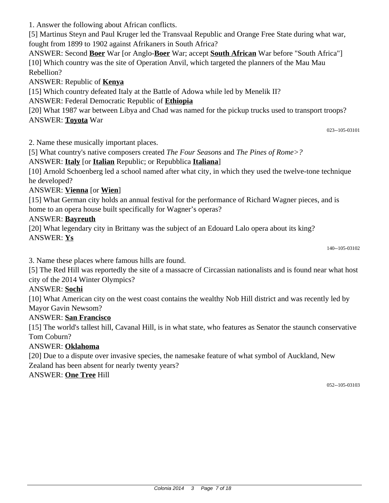1. Answer the following about African conflicts.

[5] Martinus Steyn and Paul Kruger led the Transvaal Republic and Orange Free State during what war, fought from 1899 to 1902 against Afrikaners in South Africa?

ANSWER: Second **Boer** War [or Anglo-**Boer** War; accept **South African** War before "South Africa"] [10] Which country was the site of Operation Anvil, which targeted the planners of the Mau Mau Rebellion?

## ANSWER: Republic of **Kenya**

[15] Which country defeated Italy at the Battle of Adowa while led by Menelik II?

ANSWER: Federal Democratic Republic of **Ethiopia**

[20] What 1987 war between Libya and Chad was named for the pickup trucks used to transport troops? ANSWER: **Toyota** War

023--105-03101

2. Name these musically important places.

[5] What country's native composers created *The Four Seasons* and *The Pines of Rome>?*

## ANSWER: **Italy** [or **Italian** Republic; or Repubblica **Italiana**]

[10] Arnold Schoenberg led a school named after what city, in which they used the twelve-tone technique he developed?

## ANSWER: **Vienna** [or **Wien**]

[15] What German city holds an annual festival for the performance of Richard Wagner pieces, and is home to an opera house built specifically for Wagner's operas?

## ANSWER: **Bayreuth**

[20] What legendary city in Brittany was the subject of an Edouard Lalo opera about its king? ANSWER: **Ys**

140--105-03102

3. Name these places where famous hills are found.

[5] The Red Hill was reportedly the site of a massacre of Circassian nationalists and is found near what host city of the 2014 Winter Olympics?

## ANSWER: **Sochi**

[10] What American city on the west coast contains the wealthy Nob Hill district and was recently led by Mayor Gavin Newsom?

## ANSWER: **San Francisco**

[15] The world's tallest hill, Cavanal Hill, is in what state, who features as Senator the staunch conservative Tom Coburn?

## ANSWER: **Oklahoma**

[20] Due to a dispute over invasive species, the namesake feature of what symbol of Auckland, New Zealand has been absent for nearly twenty years?

## ANSWER: **One Tree** Hill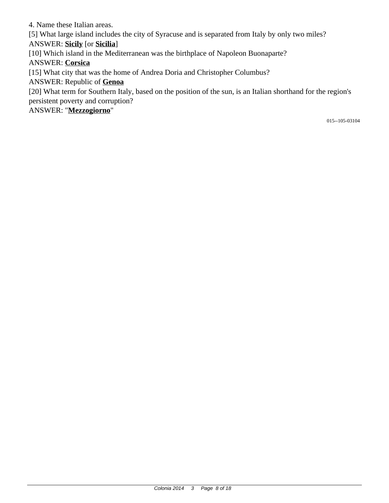4. Name these Italian areas.

[5] What large island includes the city of Syracuse and is separated from Italy by only two miles?

ANSWER: **Sicily** [or **Sicilia**]

[10] Which island in the Mediterranean was the birthplace of Napoleon Buonaparte?

ANSWER: **Corsica**

[15] What city that was the home of Andrea Doria and Christopher Columbus?

ANSWER: Republic of **Genoa**

[20] What term for Southern Italy, based on the position of the sun, is an Italian shorthand for the region's persistent poverty and corruption?

ANSWER: "**Mezzogiorno**"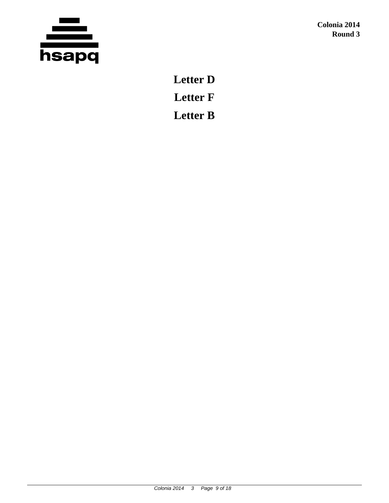

**Letter D Letter F Letter B**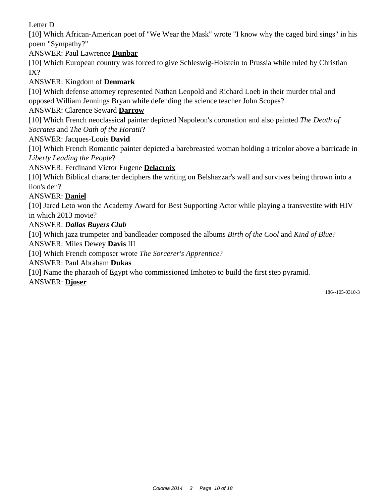Letter D

[10] Which African-American poet of "We Wear the Mask" wrote "I know why the caged bird sings" in his poem "Sympathy?"

ANSWER: Paul Lawrence **Dunbar**

[10] Which European country was forced to give Schleswig-Holstein to Prussia while ruled by Christian IX?

## ANSWER: Kingdom of **Denmark**

[10] Which defense attorney represented Nathan Leopold and Richard Loeb in their murder trial and opposed William Jennings Bryan while defending the science teacher John Scopes?

## ANSWER: Clarence Seward **Darrow**

[10] Which French neoclassical painter depicted Napoleon's coronation and also painted *The Death of Socrates* and *The Oath of the Horatii*?

### ANSWER: Jacques-Louis **David**

[10] Which French Romantic painter depicted a barebreasted woman holding a tricolor above a barricade in *Liberty Leading the People*?

### ANSWER: Ferdinand Victor Eugene **Delacroix**

[10] Which Biblical character deciphers the writing on Belshazzar's wall and survives being thrown into a lion's den?

#### ANSWER: **Daniel**

[10] Jared Leto won the Academy Award for Best Supporting Actor while playing a transvestite with HIV in which 2013 movie?

### ANSWER: *Dallas Buyers Club*

[10] Which jazz trumpeter and bandleader composed the albums *Birth of the Cool* and *Kind of Blue*?

ANSWER: Miles Dewey **Davis** III

[10] Which French composer wrote *The Sorcerer's Apprentice*?

ANSWER: Paul Abraham **Dukas**

[10] Name the pharaoh of Egypt who commissioned Imhotep to build the first step pyramid.

#### ANSWER: **Djoser**

186--105-0310-3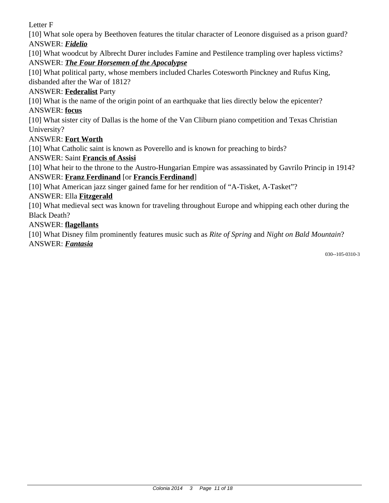Letter F

[10] What sole opera by Beethoven features the titular character of Leonore disguised as a prison guard? ANSWER: *Fidelio*

[10] What woodcut by Albrecht Durer includes Famine and Pestilence trampling over hapless victims? ANSWER: *The Four Horsemen of the Apocalypse*

[10] What political party, whose members included Charles Cotesworth Pinckney and Rufus King,

disbanded after the War of 1812?

## ANSWER: **Federalist** Party

[10] What is the name of the origin point of an earthquake that lies directly below the epicenter?

## ANSWER: **focus**

[10] What sister city of Dallas is the home of the Van Cliburn piano competition and Texas Christian University?

## ANSWER: **Fort Worth**

[10] What Catholic saint is known as Poverello and is known for preaching to birds?

## ANSWER: Saint **Francis of Assisi**

[10] What heir to the throne to the Austro-Hungarian Empire was assassinated by Gavrilo Princip in 1914? ANSWER: **Franz Ferdinand** [or **Francis Ferdinand**]

[10] What American jazz singer gained fame for her rendition of "A-Tisket, A-Tasket"?

## ANSWER: Ella **Fitzgerald**

[10] What medieval sect was known for traveling throughout Europe and whipping each other during the Black Death?

## ANSWER: **flagellants**

[10] What Disney film prominently features music such as *Rite of Spring* and *Night on Bald Mountain*? ANSWER: *Fantasia*

030--105-0310-3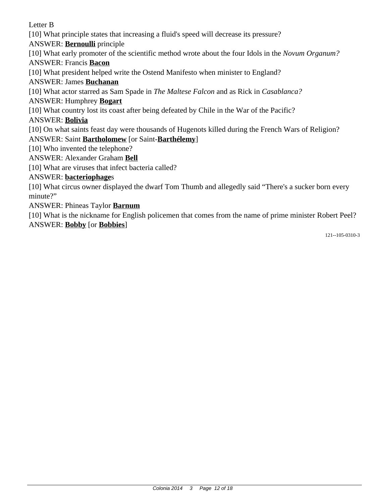Letter B

[10] What principle states that increasing a fluid's speed will decrease its pressure?

ANSWER: **Bernoulli** principle

[10] What early promoter of the scientific method wrote about the four Idols in the *Novum Organum?*

ANSWER: Francis **Bacon**

[10] What president helped write the Ostend Manifesto when minister to England?

ANSWER: James **Buchanan**

[10] What actor starred as Sam Spade in *The Maltese Falcon* and as Rick in *Casablanca?*

ANSWER: Humphrey **Bogart**

[10] What country lost its coast after being defeated by Chile in the War of the Pacific?

ANSWER: **Bolivia**

[10] On what saints feast day were thousands of Hugenots killed during the French Wars of Religion?

ANSWER: Saint **Bartholomew** [or Saint-**Barthélemy**]

[10] Who invented the telephone?

ANSWER: Alexander Graham **Bell**

[10] What are viruses that infect bacteria called?

ANSWER: **bacteriophage**s

[10] What circus owner displayed the dwarf Tom Thumb and allegedly said "There's a sucker born every minute?"

ANSWER: Phineas Taylor **Barnum**

[10] What is the nickname for English policemen that comes from the name of prime minister Robert Peel? ANSWER: **Bobby** [or **Bobbies**]

121--105-0310-3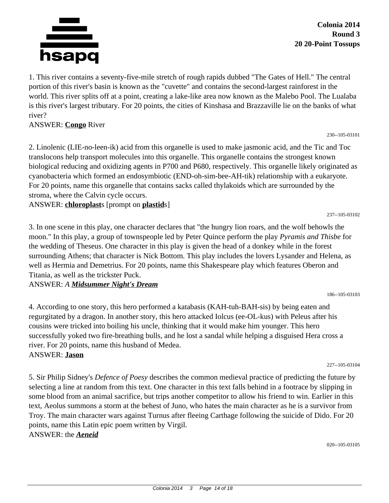

**Colonia 2014 Round 3 20 20-Point Tossups**

230--105-03101

237--105-03102

1. This river contains a seventy-five-mile stretch of rough rapids dubbed "The Gates of Hell." The central portion of this river's basin is known as the "cuvette" and contains the second-largest rainforest in the world. This river splits off at a point, creating a lake-like area now known as the Malebo Pool. The Lualaba is this river's largest tributary. For 20 points, the cities of Kinshasa and Brazzaville lie on the banks of what river?

#### ANSWER: **Congo** River

2. Linolenic (LIE-no-leen-ik) acid from this organelle is used to make jasmonic acid, and the Tic and Toc translocons help transport molecules into this organelle. This organelle contains the strongest known biological reducing and oxidizing agents in P700 and P680, respectively. This organelle likely originated as cyanobacteria which formed an endosymbiotic (END-oh-sim-bee-AH-tik) relationship with a eukaryote. For 20 points, name this organelle that contains sacks called thylakoids which are surrounded by the stroma, where the Calvin cycle occurs.

ANSWER: **chloroplast**s [prompt on **plastid**s]

3. In one scene in this play, one character declares that "the hungry lion roars, and the wolf behowls the moon." In this play, a group of townspeople led by Peter Quince perform the play *Pyramis and Thisbe* for the wedding of Theseus. One character in this play is given the head of a donkey while in the forest surrounding Athens; that character is Nick Bottom. This play includes the lovers Lysander and Helena, as well as Hermia and Demetrius. For 20 points, name this Shakespeare play which features Oberon and Titania, as well as the trickster Puck.

#### ANSWER: *A Midsummer Night's Dream*

4. According to one story, this hero performed a katabasis (KAH-tuh-BAH-sis) by being eaten and regurgitated by a dragon. In another story, this hero attacked Iolcus (ee-OL-kus) with Peleus after his cousins were tricked into boiling his uncle, thinking that it would make him younger. This hero successfully yoked two fire-breathing bulls, and he lost a sandal while helping a disguised Hera cross a river. For 20 points, name this husband of Medea. ANSWER: **Jason**

227--105-03104

186--105-03103

5. Sir Philip Sidney's *Defence of Poesy* describes the common medieval practice of predicting the future by selecting a line at random from this text. One character in this text falls behind in a footrace by slipping in some blood from an animal sacrifice, but trips another competitor to allow his friend to win. Earlier in this text, Aeolus summons a storm at the behest of Juno, who hates the main character as he is a survivor from Troy. The main character wars against Turnus after fleeing Carthage following the suicide of Dido. For 20 points, name this Latin epic poem written by Virgil.

ANSWER: the *Aeneid*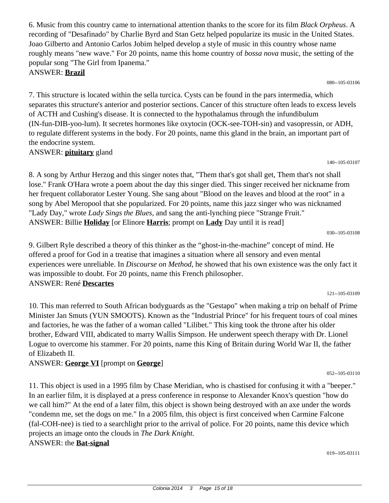6. Music from this country came to international attention thanks to the score for its film *Black Orpheus*. A recording of "Desafinado" by Charlie Byrd and Stan Getz helped popularize its music in the United States. Joao Gilberto and Antonio Carlos Jobim helped develop a style of music in this country whose name roughly means "new wave." For 20 points, name this home country of *bossa nova* music, the setting of the popular song "The Girl from Ipanema." ANSWER: **Brazil**

080--105-03106

7. This structure is located within the sella turcica. Cysts can be found in the pars intermedia, which separates this structure's anterior and posterior sections. Cancer of this structure often leads to excess levels of ACTH and Cushing's disease. It is connected to the hypothalamus through the infundibulum (IN-fun-DIB-yoo-lum). It secretes hormones like oxytocin (OCK-see-TOH-sin) and vasopressin, or ADH, to regulate different systems in the body. For 20 points, name this gland in the brain, an important part of the endocrine system. ANSWER: **pituitary** gland

140--105-03107

8. A song by Arthur Herzog and this singer notes that, "Them that's got shall get, Them that's not shall lose." Frank O'Hara wrote a poem about the day this singer died. This singer received her nickname from her frequent collaborator Lester Young. She sang about "Blood on the leaves and blood at the root" in a song by Abel Meropool that she popularized. For 20 points, name this jazz singer who was nicknamed "Lady Day," wrote *Lady Sings the Blues,* and sang the anti-lynching piece "Strange Fruit." ANSWER: Billie **Holiday** [or Elinore **Harris**; prompt on **Lady** Day until it is read]

030--105-03108

9. Gilbert Ryle described a theory of this thinker as the "ghost-in-the-machine" concept of mind. He offered a proof for God in a treatise that imagines a situation where all sensory and even mental experiences were unreliable. In *Discourse on Method,* he showed that his own existence was the only fact it was impossible to doubt. For 20 points, name this French philosopher. ANSWER: René **Descartes**

121--105-03109

052--105-03110

10. This man referred to South African bodyguards as the "Gestapo" when making a trip on behalf of Prime Minister Jan Smuts (YUN SMOOTS). Known as the "Industrial Prince" for his frequent tours of coal mines and factories, he was the father of a woman called "Lilibet." This king took the throne after his older brother, Edward VIII, abdicated to marry Wallis Simpson. He underwent speech therapy with Dr. Lionel Logue to overcome his stammer. For 20 points, name this King of Britain during World War II, the father of Elizabeth II.

ANSWER: **George VI** [prompt on **George**]

11. This object is used in a 1995 film by Chase Meridian, who is chastised for confusing it with a "beeper." In an earlier film, it is displayed at a press conference in response to Alexander Knox's question "how do we call him?" At the end of a later film, this object is shown being destroyed with an axe under the words "condemn me, set the dogs on me." In a 2005 film, this object is first conceived when Carmine Falcone (fal-COH-nee) is tied to a searchlight prior to the arrival of police. For 20 points, name this device which projects an image onto the clouds in *The Dark Knight.* ANSWER: the **Bat-signal**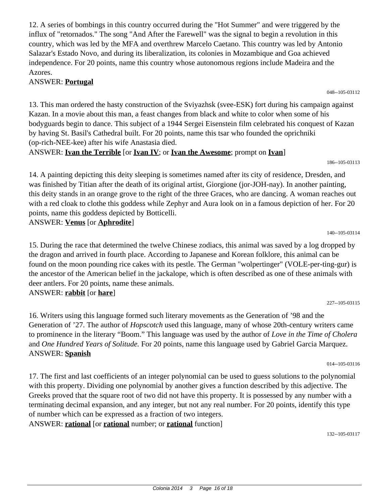12. A series of bombings in this country occurred during the "Hot Summer" and were triggered by the influx of "retornados." The song "And After the Farewell" was the signal to begin a revolution in this country, which was led by the MFA and overthrew Marcelo Caetano. This country was led by Antonio Salazar's Estado Novo, and during its liberalization, its colonies in Mozambique and Goa achieved independence. For 20 points, name this country whose autonomous regions include Madeira and the Azores.

#### ANSWER: **Portugal**

13. This man ordered the hasty construction of the Sviyazhsk (svee-ESK) fort during his campaign against Kazan. In a movie about this man, a feast changes from black and white to color when some of his bodyguards begin to dance. This subject of a 1944 Sergei Eisenstein film celebrated his conquest of Kazan by having St. Basil's Cathedral built. For 20 points, name this tsar who founded the oprichniki (op-rich-NEE-kee) after his wife Anastasia died.

ANSWER: **Ivan the Terrible** [or **Ivan IV**; or **Ivan the Awesome**; prompt on **Ivan**]

186--105-03113

14. A painting depicting this deity sleeping is sometimes named after its city of residence, Dresden, and was finished by Titian after the death of its original artist, Giorgione (jor-JOH-nay). In another painting, this deity stands in an orange grove to the right of the three Graces, who are dancing. A woman reaches out with a red cloak to clothe this goddess while Zephyr and Aura look on in a famous depiction of her. For 20 points, name this goddess depicted by Botticelli. ANSWER: **Venus** [or **Aphrodite**]

140--105-03114

15. During the race that determined the twelve Chinese zodiacs, this animal was saved by a log dropped by the dragon and arrived in fourth place. According to Japanese and Korean folklore, this animal can be found on the moon pounding rice cakes with its pestle. The German "wolpertinger" (VOLE-per-ting-gur) is the ancestor of the American belief in the jackalope, which is often described as one of these animals with deer antlers. For 20 points, name these animals. ANSWER: **rabbit** [or **hare**]

227--105-03115

16. Writers using this language formed such literary movements as the Generation of '98 and the Generation of '27. The author of *Hopscotch* used this language, many of whose 20th-century writers came to prominence in the literary "Boom." This language was used by the author of *Love in the Time of Cholera* and *One Hundred Years of Solitude.* For 20 points, name this language used by Gabriel Garcia Marquez. ANSWER: **Spanish**

014--105-03116

17. The first and last coefficients of an integer polynomial can be used to guess solutions to the polynomial with this property. Dividing one polynomial by another gives a function described by this adjective. The Greeks proved that the square root of two did not have this property. It is possessed by any number with a terminating decimal expansion, and any integer, but not any real number. For 20 points, identify this type of number which can be expressed as a fraction of two integers.

ANSWER: **rational** [or **rational** number; or **rational** function]

048--105-03112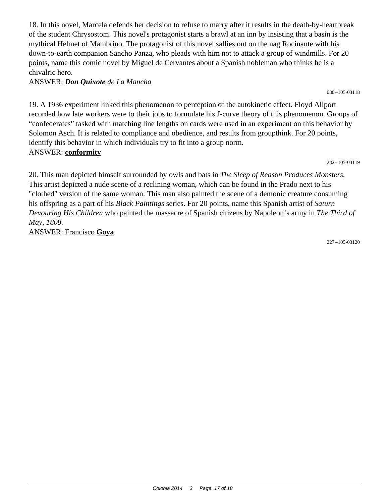18. In this novel, Marcela defends her decision to refuse to marry after it results in the death-by-heartbreak of the student Chrysostom. This novel's protagonist starts a brawl at an inn by insisting that a basin is the mythical Helmet of Mambrino. The protagonist of this novel sallies out on the nag Rocinante with his down-to-earth companion Sancho Panza, who pleads with him not to attack a group of windmills. For 20 points, name this comic novel by Miguel de Cervantes about a Spanish nobleman who thinks he is a chivalric hero.

ANSWER: *Don Quixote de La Mancha*

19. A 1936 experiment linked this phenomenon to perception of the autokinetic effect. Floyd Allport recorded how late workers were to their jobs to formulate his J-curve theory of this phenomenon. Groups of "confederates" tasked with matching line lengths on cards were used in an experiment on this behavior by Solomon Asch. It is related to compliance and obedience, and results from groupthink. For 20 points, identify this behavior in which individuals try to fit into a group norm. ANSWER: **conformity**

232--105-03119

20. This man depicted himself surrounded by owls and bats in *The Sleep of Reason Produces Monsters.* This artist depicted a nude scene of a reclining woman, which can be found in the Prado next to his "clothed" version of the same woman. This man also painted the scene of a demonic creature consuming his offspring as a part of his *Black Paintings* series. For 20 points, name this Spanish artist of *Saturn Devouring His Children* who painted the massacre of Spanish citizens by Napoleon's army in *The Third of May, 1808.*

ANSWER: Francisco **Goya**

227--105-03120